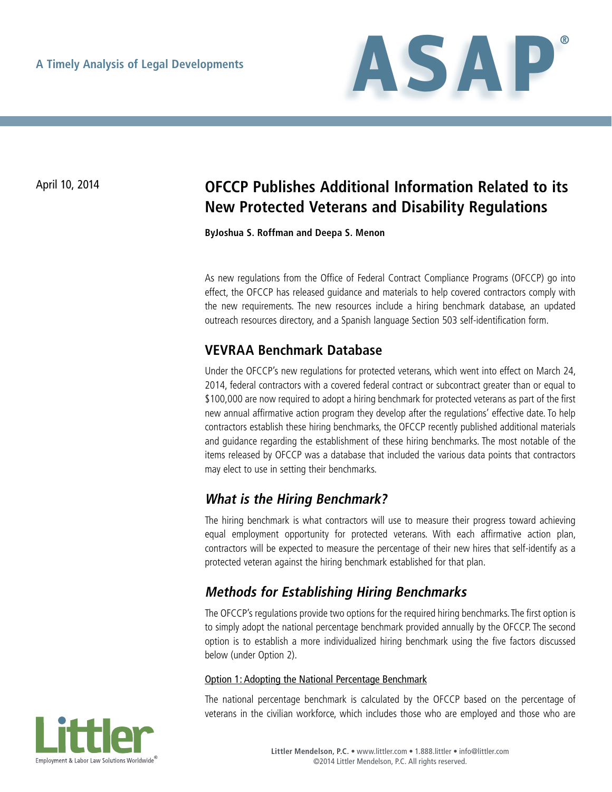

# April 10, 2014 **OFCCP Publishes Additional Information Related to its New Protected Veterans and Disability Regulations**

**ByJoshua S. Roffman and Deepa S. Menon**

As new regulations from the Office of Federal Contract Compliance Programs (OFCCP) go into effect, the OFCCP has released guidance and materials to help covered contractors comply with the new requirements. The new resources include a hiring benchmark database, an updated outreach resources directory, and a Spanish language Section 503 self-identification form.

## **VEVRAA Benchmark Database**

Under the OFCCP's new regulations for protected veterans, which went into effect on March 24, 2014, federal contractors with a covered federal contract or subcontract greater than or equal to \$100,000 are now required to adopt a hiring benchmark for protected veterans as part of the first new annual affirmative action program they develop after the regulations' effective date. To help contractors establish these hiring benchmarks, the OFCCP recently published additional materials and guidance regarding the establishment of these hiring benchmarks. The most notable of the items released by OFCCP was a database that included the various data points that contractors may elect to use in setting their benchmarks.

## **What is the Hiring Benchmark?**

The hiring benchmark is what contractors will use to measure their progress toward achieving equal employment opportunity for protected veterans. With each affirmative action plan, contractors will be expected to measure the percentage of their new hires that self-identify as a protected veteran against the hiring benchmark established for that plan.

## **Methods for Establishing Hiring Benchmarks**

The OFCCP's regulations provide two options for the required hiring benchmarks. The first option is to simply adopt the national percentage benchmark provided annually by the OFCCP. The second option is to establish a more individualized hiring benchmark using the five factors discussed below (under Option 2).

#### Option 1: Adopting the National Percentage Benchmark

The national percentage benchmark is calculated by the OFCCP based on the percentage of veterans in the civilian workforce, which includes those who are employed and those who are

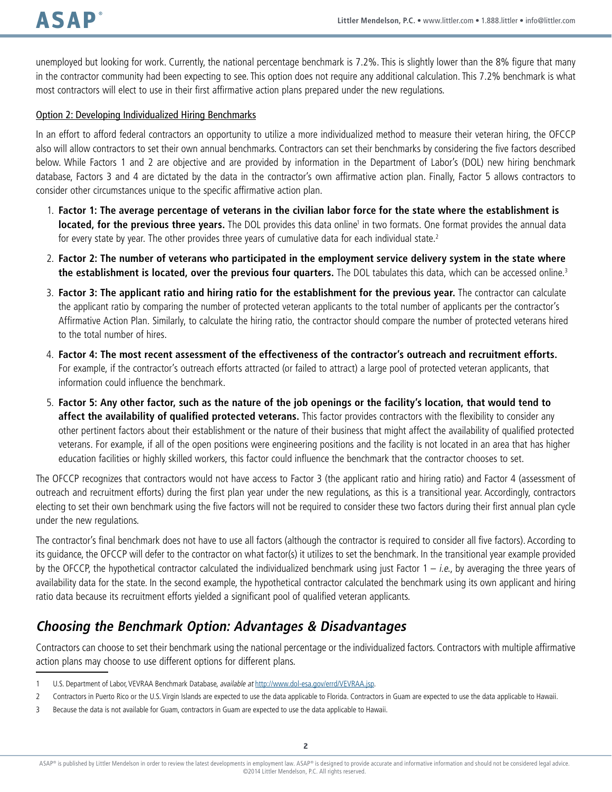unemployed but looking for work. Currently, the national percentage benchmark is 7.2%. This is slightly lower than the 8% figure that many in the contractor community had been expecting to see. This option does not require any additional calculation. This 7.2% benchmark is what most contractors will elect to use in their first affirmative action plans prepared under the new regulations.

#### Option 2: Developing Individualized Hiring Benchmarks

In an effort to afford federal contractors an opportunity to utilize a more individualized method to measure their veteran hiring, the OFCCP also will allow contractors to set their own annual benchmarks. Contractors can set their benchmarks by considering the five factors described below. While Factors 1 and 2 are objective and are provided by information in the Department of Labor's (DOL) new hiring benchmark database, Factors 3 and 4 are dictated by the data in the contractor's own affirmative action plan. Finally, Factor 5 allows contractors to consider other circumstances unique to the specific affirmative action plan.

- 1. **Factor 1: The average percentage of veterans in the civilian labor force for the state where the establishment is located, for the previous three years.** The DOL provides this data online<sup>1</sup> in two formats. One format provides the annual data for every state by year. The other provides three years of cumulative data for each individual state.<sup>2</sup>
- 2. **Factor 2: The number of veterans who participated in the employment service delivery system in the state where the establishment is located, over the previous four quarters.** The DOL tabulates this data, which can be accessed online.3
- 3. **Factor 3: The applicant ratio and hiring ratio for the establishment for the previous year.** The contractor can calculate the applicant ratio by comparing the number of protected veteran applicants to the total number of applicants per the contractor's Affirmative Action Plan. Similarly, to calculate the hiring ratio, the contractor should compare the number of protected veterans hired to the total number of hires.
- 4. **Factor 4: The most recent assessment of the effectiveness of the contractor's outreach and recruitment efforts.** For example, if the contractor's outreach efforts attracted (or failed to attract) a large pool of protected veteran applicants, that information could influence the benchmark.
- 5. **Factor 5: Any other factor, such as the nature of the job openings or the facility's location, that would tend to affect the availability of qualified protected veterans.** This factor provides contractors with the flexibility to consider any other pertinent factors about their establishment or the nature of their business that might affect the availability of qualified protected veterans. For example, if all of the open positions were engineering positions and the facility is not located in an area that has higher education facilities or highly skilled workers, this factor could influence the benchmark that the contractor chooses to set.

The OFCCP recognizes that contractors would not have access to Factor 3 (the applicant ratio and hiring ratio) and Factor 4 (assessment of outreach and recruitment efforts) during the first plan year under the new regulations, as this is a transitional year. Accordingly, contractors electing to set their own benchmark using the five factors will not be required to consider these two factors during their first annual plan cycle under the new regulations.

The contractor's final benchmark does not have to use all factors (although the contractor is required to consider all five factors). According to its guidance, the OFCCP will defer to the contractor on what factor(s) it utilizes to set the benchmark. In the transitional year example provided by the OFCCP, the hypothetical contractor calculated the individualized benchmark using just Factor  $1 - i.e.,$  by averaging the three years of availability data for the state. In the second example, the hypothetical contractor calculated the benchmark using its own applicant and hiring ratio data because its recruitment efforts yielded a significant pool of qualified veteran applicants.

## **Choosing the Benchmark Option: Advantages & Disadvantages**

Contractors can choose to set their benchmark using the national percentage or the individualized factors. Contractors with multiple affirmative action plans may choose to use different options for different plans.

- 1 U.S. Department of Labor, VEVRAA Benchmark Database, available at <http://www.dol-esa.gov/errd/VEVRAA.jsp>.
- 2 Contractors in Puerto Rico or the U.S. Virgin Islands are expected to use the data applicable to Florida. Contractors in Guam are expected to use the data applicable to Hawaii.
- 3 Because the data is not available for Guam, contractors in Guam are expected to use the data applicable to Hawaii.